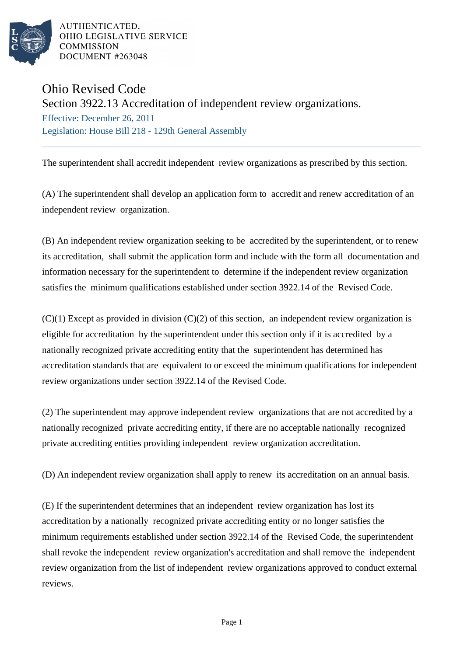

AUTHENTICATED. OHIO LEGISLATIVE SERVICE **COMMISSION** DOCUMENT #263048

## Ohio Revised Code

Section 3922.13 Accreditation of independent review organizations.

Effective: December 26, 2011 Legislation: House Bill 218 - 129th General Assembly

The superintendent shall accredit independent review organizations as prescribed by this section.

(A) The superintendent shall develop an application form to accredit and renew accreditation of an independent review organization.

(B) An independent review organization seeking to be accredited by the superintendent, or to renew its accreditation, shall submit the application form and include with the form all documentation and information necessary for the superintendent to determine if the independent review organization satisfies the minimum qualifications established under section 3922.14 of the Revised Code.

 $(C)(1)$  Except as provided in division  $(C)(2)$  of this section, an independent review organization is eligible for accreditation by the superintendent under this section only if it is accredited by a nationally recognized private accrediting entity that the superintendent has determined has accreditation standards that are equivalent to or exceed the minimum qualifications for independent review organizations under section 3922.14 of the Revised Code.

(2) The superintendent may approve independent review organizations that are not accredited by a nationally recognized private accrediting entity, if there are no acceptable nationally recognized private accrediting entities providing independent review organization accreditation.

(D) An independent review organization shall apply to renew its accreditation on an annual basis.

(E) If the superintendent determines that an independent review organization has lost its accreditation by a nationally recognized private accrediting entity or no longer satisfies the minimum requirements established under section 3922.14 of the Revised Code, the superintendent shall revoke the independent review organization's accreditation and shall remove the independent review organization from the list of independent review organizations approved to conduct external reviews.